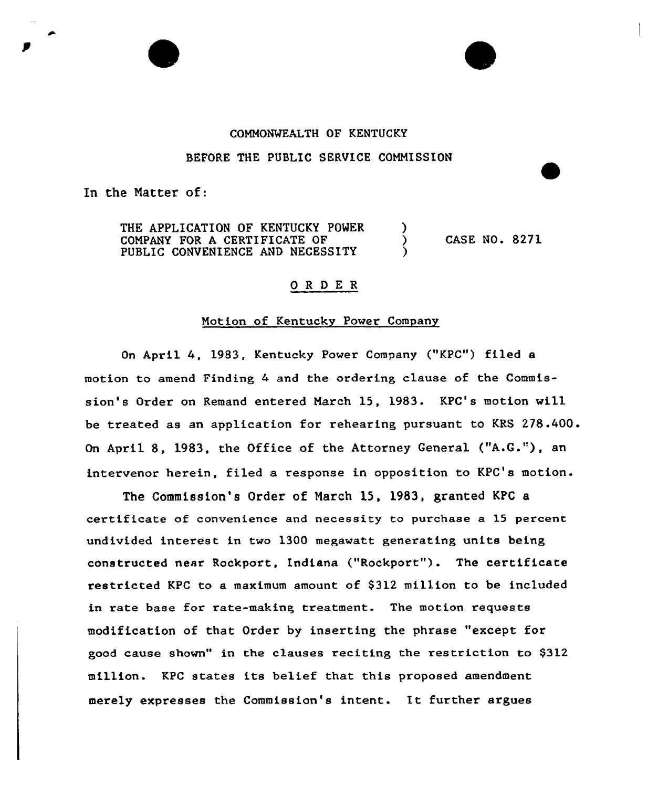# COMMONWEALTH OF KENTUCKY

#### BEFORE THE PUBLIC SERVICE COMMISSION

In the Natter of:

THE APPLICATION OF KENTUCKY POWER COMPANY FOR A CERTIFICATE OF PUBLIC CONVENIENCE AND NECESSITY

CASE NO. 8271

 $\mathcal{Y}$  $\lambda$ 

# 0 R <sup>D</sup> E R

# Motion of Kentucky Power Company

On April 4, 1983, Kentucky Power Company ("KPC") filed a motion to amend Finding 4 and the ordering clause of the Commission's Order on Remand entered March 15, 1983. KPC's motion will be treated as an application for rehearing pursuant to KRS 278.400. On April 8, 1983, the Office of the Attorney General ("A.G."), an intervenor herein, filed a response in opposition to KPC's motion.

The Commission's Order of March 15, 1983, granted KPC a certificate of convenience and necessity to purchase a 15 percent undivided interest in two 1300 megawatt generating units being constructed near Rockport, indiana ("Rockport"). The certificate restricted KPC to a maximum amount of \$312 million to be included in rate base for rate-making treatment. The motion requests modification of that Order by inserting the phrase "except for good cause shown" in the clauses reciting the restriction to \$312 million. KPC states its belief that this proposed amendment merely expresses the Commission's intent. It further argues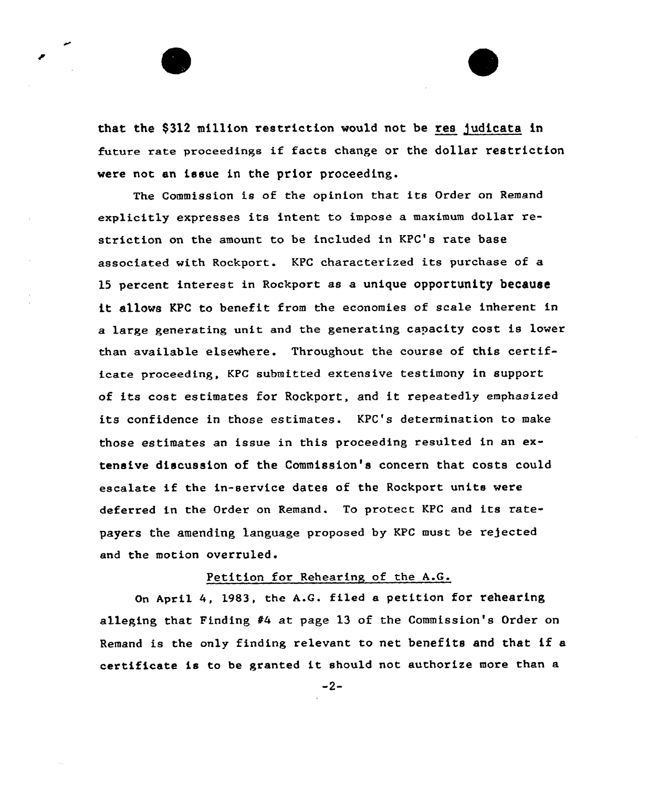that the \$312 million restriction would not be res judicata in future rate proceedings if facts change or the dollar restriction were not an issue in the prior proceeding.

The Commission is of the opinion that its Order on Remand explicitly expresses its intent to impose a maximum dollar restriction on the amount to be included in KPC's rate base associated with Rockport. KPC characterized its purchase of a l5 percent interest in Rockport as a unique opportunity because it allows KPC to benefit from the economies of scale inherent in a large generating unit and the generating capacity cost is lower than available elsewhere. Throughout the course of this certificate proceeding, KPC submitted extensive testimony in support of its cost estimates for Rockport, and it repeatedly emphasized its confidence in those estimates. KPC's determination to make those estimates an issue in this proceeding resulted in an extensive discussion of the Commission's concern that costs could escalate if the in-service dates of the Rockport units were deferred in the Order on Remand. To protect KPC and its ratepayers the amending language proposed by KPC must be rejected and the motion overruled.

## Petition for Rehearing of the A.G.

On April 4, 1983, the A.G. filed a petition for rehearing alleging that Finding  $#4$  at page 13 of the Commission's Order on Remand is the only finding relevant to net benefits and that if <sup>a</sup> certificate is to be granted it should not authorize more than a

-2-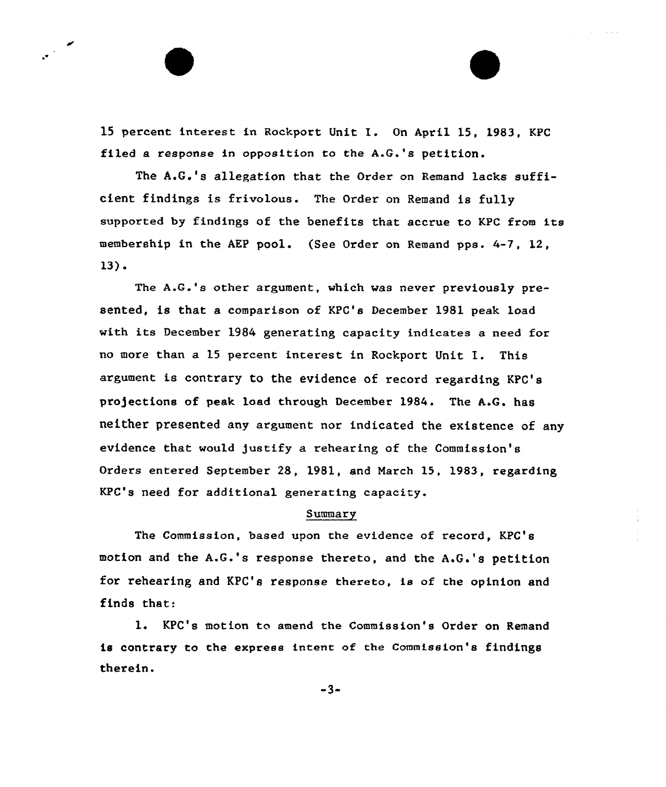<sup>15</sup> percent interest in Rockport Unit I. On April 15, 1983, KPC filed a response in opposition to the A.G.'s petition.

The A.G.'s allegation that the Order on Remand lacks sufficient findings is frivolous. The Order on Remand is fully supported by findings of the benefits that accrue to KPC from its membership in the AEP pool. (See Order on Remand pps. 4-7, 12, 13).

The A.G.'s other argument, which was never previously presented, is that a comparison of KPC's December 1981 peak load with its December 1984 generating capacity indicates a need for no more than <sup>a</sup> <sup>15</sup> percent interest in Rockport Unit I. This argument is contrary to the evidence of record regarding KPC's pro5ections of peak load through December 1984. The A.G. has neither presented any argument nor indicated the existence of any evidence that would justify a rehearing of the Commission's Orders entered September 28, 1981, and March 15, 1983, regarding KPC's need for additional generating capacity.

#### Summary

The Commission, based upon the evidence of record, KPC's motion and the A.G.'s response thereto, and the A.G.'s petition for rehearing and KPC's response thereto. is of the opinion and finds that:

KPC's motion to amend the Commission's Order on Remand is contrary to the express intent of the Commission's findings therein.

 $-3-$